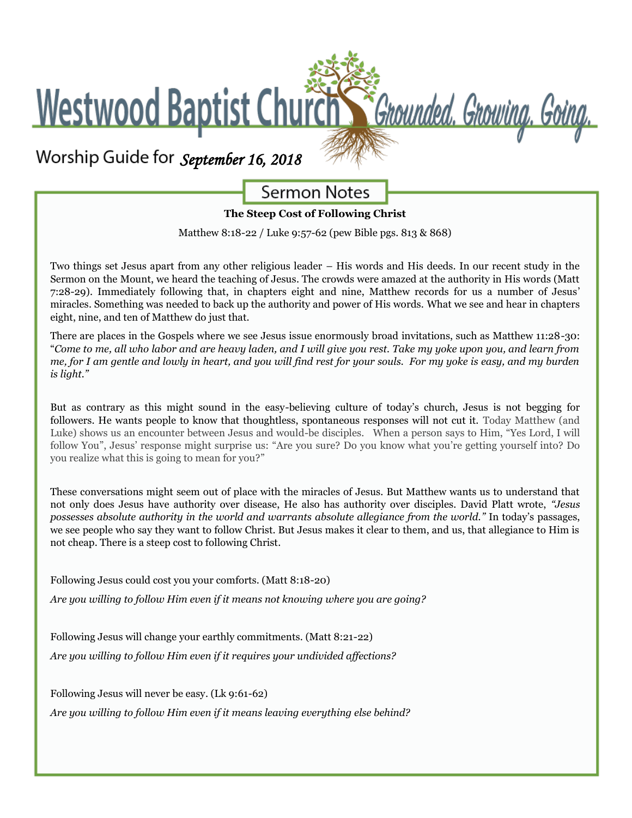# **Westwood Baptist Church** Chounded. Growing. Going.

## *September 16, 2018*

### **Sermon Notes**

#### **The Steep Cost of Following Christ**

Matthew 8:18-22 / Luke 9:57-62 (pew Bible pgs. 813 & 868)

Two things set Jesus apart from any other religious leader – His words and His deeds. In our recent study in the Sermon on the Mount, we heard the teaching of Jesus. The crowds were amazed at the authority in His words (Matt 7:28-29). Immediately following that, in chapters eight and nine, Matthew records for us a number of Jesus' miracles. Something was needed to back up the authority and power of His words. What we see and hear in chapters eight, nine, and ten of Matthew do just that.

There are places in the Gospels where we see Jesus issue enormously broad invitations, such as Matthew 11:28-30: "*Come to me, all who labor and are heavy laden, and I will give you rest. Take my yoke upon you, and learn from me, for I am gentle and lowly in heart, and you will find rest for your souls. For my yoke is easy, and my burden is light."*

But as contrary as this might sound in the easy-believing culture of today's church, Jesus is not begging for followers. He wants people to know that thoughtless, spontaneous responses will not cut it. Today Matthew (and Luke) shows us an encounter between Jesus and would-be disciples. When a person says to Him, "Yes Lord, I will follow You", Jesus' response might surprise us: "Are you sure? Do you know what you're getting yourself into? Do you realize what this is going to mean for you?"

These conversations might seem out of place with the miracles of Jesus. But Matthew wants us to understand that not only does Jesus have authority over disease, He also has authority over disciples. David Platt wrote, *"Jesus possesses absolute authority in the world and warrants absolute allegiance from the world."* In today's passages, we see people who say they want to follow Christ. But Jesus makes it clear to them, and us, that allegiance to Him is not cheap. There is a steep cost to following Christ.

Following Jesus could cost you your comforts. (Matt 8:18-20) *Are you willing to follow Him even if it means not knowing where you are going?*

Following Jesus will change your earthly commitments. (Matt 8:21-22) *Are you willing to follow Him even if it requires your undivided affections?*

Following Jesus will never be easy. (Lk 9:61-62) *Are you willing to follow Him even if it means leaving everything else behind?*